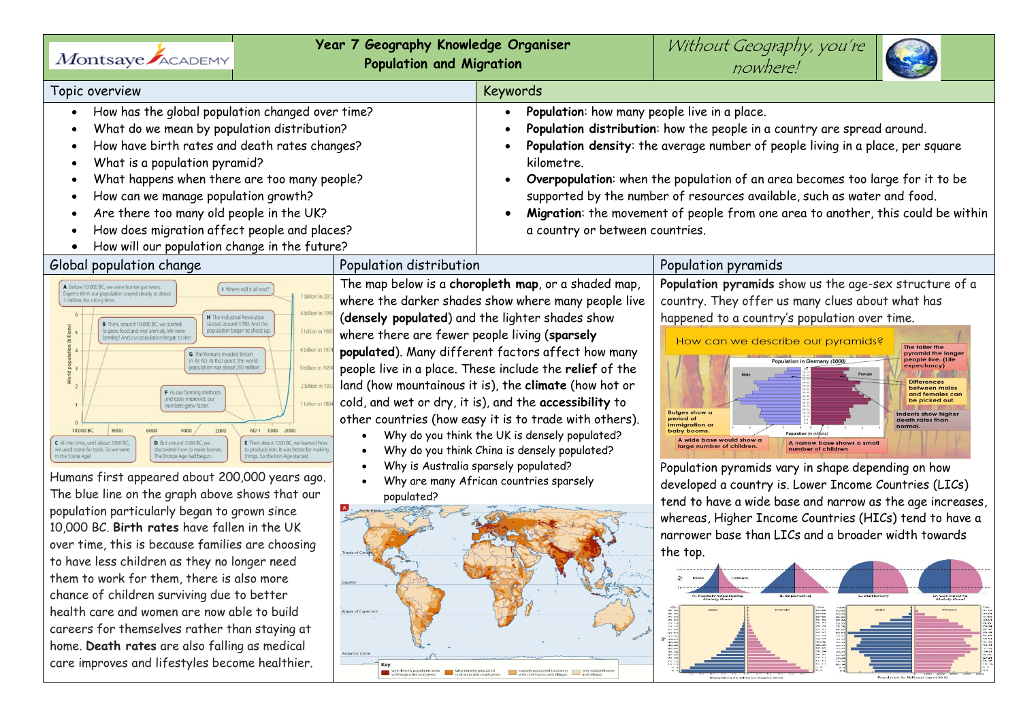| Montsaye ACADEMY                                                                                                                                                                                                                                                                                                                                                                                                                                                                                                                                                                                                                                                                                                                                                                                                                                                                                                                                                                                                                                                                                                                                                                                                                                                                                                                                                                                                                                                                                                                                                                                                                                                                                                                      | Year 7 Geography Knowledge Organiser<br><b>Population and Migration</b>                                                                                                                                                                                                                                                                                                                                                                                                                                                                                                                                                                                                                                                                                                                                                                                                                                                       | Without Geography, you're<br>nowhere!                                                                                                                                                                                                                                                                                                                                                                                                                                                                                                                                                                                                                                                                                                                                                                                                                                                                                                                                                                                                                                                                                                  |
|---------------------------------------------------------------------------------------------------------------------------------------------------------------------------------------------------------------------------------------------------------------------------------------------------------------------------------------------------------------------------------------------------------------------------------------------------------------------------------------------------------------------------------------------------------------------------------------------------------------------------------------------------------------------------------------------------------------------------------------------------------------------------------------------------------------------------------------------------------------------------------------------------------------------------------------------------------------------------------------------------------------------------------------------------------------------------------------------------------------------------------------------------------------------------------------------------------------------------------------------------------------------------------------------------------------------------------------------------------------------------------------------------------------------------------------------------------------------------------------------------------------------------------------------------------------------------------------------------------------------------------------------------------------------------------------------------------------------------------------|-------------------------------------------------------------------------------------------------------------------------------------------------------------------------------------------------------------------------------------------------------------------------------------------------------------------------------------------------------------------------------------------------------------------------------------------------------------------------------------------------------------------------------------------------------------------------------------------------------------------------------------------------------------------------------------------------------------------------------------------------------------------------------------------------------------------------------------------------------------------------------------------------------------------------------|----------------------------------------------------------------------------------------------------------------------------------------------------------------------------------------------------------------------------------------------------------------------------------------------------------------------------------------------------------------------------------------------------------------------------------------------------------------------------------------------------------------------------------------------------------------------------------------------------------------------------------------------------------------------------------------------------------------------------------------------------------------------------------------------------------------------------------------------------------------------------------------------------------------------------------------------------------------------------------------------------------------------------------------------------------------------------------------------------------------------------------------|
| Topic overview                                                                                                                                                                                                                                                                                                                                                                                                                                                                                                                                                                                                                                                                                                                                                                                                                                                                                                                                                                                                                                                                                                                                                                                                                                                                                                                                                                                                                                                                                                                                                                                                                                                                                                                        | Keywords                                                                                                                                                                                                                                                                                                                                                                                                                                                                                                                                                                                                                                                                                                                                                                                                                                                                                                                      |                                                                                                                                                                                                                                                                                                                                                                                                                                                                                                                                                                                                                                                                                                                                                                                                                                                                                                                                                                                                                                                                                                                                        |
| How has the global population changed over time?<br>What do we mean by population distribution?<br>How have birth rates and death rates changes?<br>What is a population pyramid?<br>What happens when there are too many people?<br>How can we manage population growth?<br>Are there too many old people in the UK?<br>How does migration affect people and places?<br>How will our population change in the future?                                                                                                                                                                                                                                                                                                                                                                                                                                                                                                                                                                                                                                                                                                                                                                                                                                                                                                                                                                                                                                                                                                                                                                                                                                                                                                                | kilometre.<br>a country or between countries.                                                                                                                                                                                                                                                                                                                                                                                                                                                                                                                                                                                                                                                                                                                                                                                                                                                                                 | Population: how many people live in a place.<br>Population distribution: how the people in a country are spread around.<br>Population density: the average number of people living in a place, per square<br>Overpopulation: when the population of an area becomes too large for it to be<br>supported by the number of resources available, such as water and food.<br>Migration: the movement of people from one area to another, this could be within                                                                                                                                                                                                                                                                                                                                                                                                                                                                                                                                                                                                                                                                              |
| Global population change                                                                                                                                                                                                                                                                                                                                                                                                                                                                                                                                                                                                                                                                                                                                                                                                                                                                                                                                                                                                                                                                                                                                                                                                                                                                                                                                                                                                                                                                                                                                                                                                                                                                                                              | Population distribution                                                                                                                                                                                                                                                                                                                                                                                                                                                                                                                                                                                                                                                                                                                                                                                                                                                                                                       | Population pyramids                                                                                                                                                                                                                                                                                                                                                                                                                                                                                                                                                                                                                                                                                                                                                                                                                                                                                                                                                                                                                                                                                                                    |
| A Before 10 000 BC, we were hunter gatherers.<br>I Where will it all end?<br>Experts think our population stayed steady at about<br>7 billion in 201.<br>million, for a long time<br>6 billion in 19<br><b>H</b> The Industrial Revolution<br>B Then, around 10 000 BC, we started<br>started around 1760. And the<br>population began to shoot up<br>grow food and rear animals. We were<br>5 billion in 198<br>farming! And our population began to rise<br>4 billion in 19<br><b>G</b> The Romans invaded Britain<br>in 43 AD. At that point, the world<br>population was about 200 million<br>3 billion in 19<br>2 billion in 192<br>F As our farming methods<br>and tools improved, our<br>billion in 180-<br>numbers grew faster.<br>8000<br>10000 BC<br>4000<br>2000<br>AD 1 1000 2000<br>6000<br>C All this time, until about 3300 BC,<br>D But around 3300 BC, we<br>E Then about 1200 BC, we learned how<br>we used stone for tools. So we were<br>discovered how to make bronze.<br>to produce iron. It was better for making<br>The Bronze Age had begun.<br>things. So the Iron Age started.<br>in the Stone Age!<br>Humans first appeared about 200,000 years ago.<br>The blue line on the graph above shows that our<br>population particularly began to grown since<br>10,000 BC. Birth rates have fallen in the UK<br>over time, this is because families are choosing<br>to have less children as they no longer need<br>them to work for them, there is also more<br>chance of children surviving due to better<br>health care and women are now able to build<br>careers for themselves rather than staying at<br>home. Death rates are also falling as medical<br>care improves and lifestyles become healthier. | The map below is a choropleth map, or a shaded map,<br>where the darker shades show where many people live<br>(densely populated) and the lighter shades show<br>where there are fewer people living (sparsely<br>populated). Many different factors affect how many<br>people live in a place. These include the relief of the<br>land (how mountainous it is), the climate (how hot or<br>cold, and wet or dry, it is), and the accessibility to<br>other countries (how easy it is to trade with others).<br>Why do you think the UK is densely populated?<br>Why do you think China is densely populated?<br>Why is Australia sparsely populated?<br>Why are many African countries sparsely<br>populated?<br>Tropic of Capricorn<br>Antarctic Circle<br>Key<br>very densely populated areas and towns and small towns<br>sparsely populated rural areas only isolated town<br>with small towns and villages and villages | Population pyramids show us the age-sex structure of a<br>country. They offer us many clues about what has<br>happened to a country's population over time.<br>How can we describe our pyramids?<br>The taller the<br>pyramid the longe<br>people live. (Life<br>Population in Germany (2000)<br>expectancy)<br><b>Differences</b><br>between males<br>and females can<br>be picked out.<br><b>Bulges show a</b><br>Indents show higher<br>period of<br>death rates thar<br>immigration or<br>normal<br>baby booms.<br>Population (in mill)<br>A wide base would show a<br>A narrow base shows a small<br>large number of children.<br>number of children<br>Population pyramids vary in shape depending on how<br>developed a country is. Lower Income Countries (LICs)<br>tend to have a wide base and narrow as the age increases,<br>whereas, Higher Income Countries (HICs) tend to have a<br>narrower base than LICs and a broader width towards<br>the top.<br>. Rapidly Expanding<br><i>Mainly Rural</i><br>D. Contracting<br>Mainly Runal<br>10-10-10<br>10-11-24<br>20-24<br>20-24 00:00<br>00-00:00<br>10-11-25<br>10-11-25 |